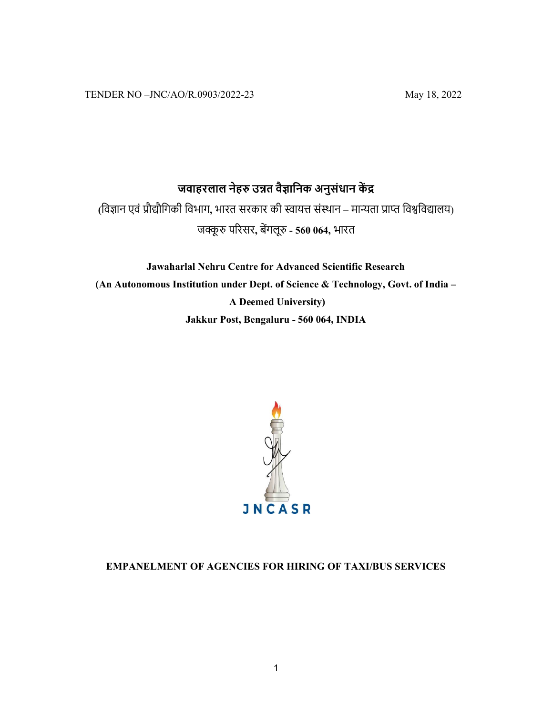# जवाहरलाल नेहरु उन्नत वैज्ञानिक अनुसंधान केंद्र

(विज्ञान एवं प्रौद्यौगिकी विभाग, भारत सरकार की स्वायत्त संस्थान – मान्यता प्राप्त विश्वविद्यालय) जक्कूरु परिसर, बेंगलूरु - 560 064, भारत

Jawaharlal Nehru Centre for Advanced Scientific Research (An Autonomous Institution under Dept. of Science & Technology, Govt. of India – A Deemed University) Jakkur Post, Bengaluru - 560 064, INDIA



### EMPANELMENT OF AGENCIES FOR HIRING OF TAXI/BUS SERVICES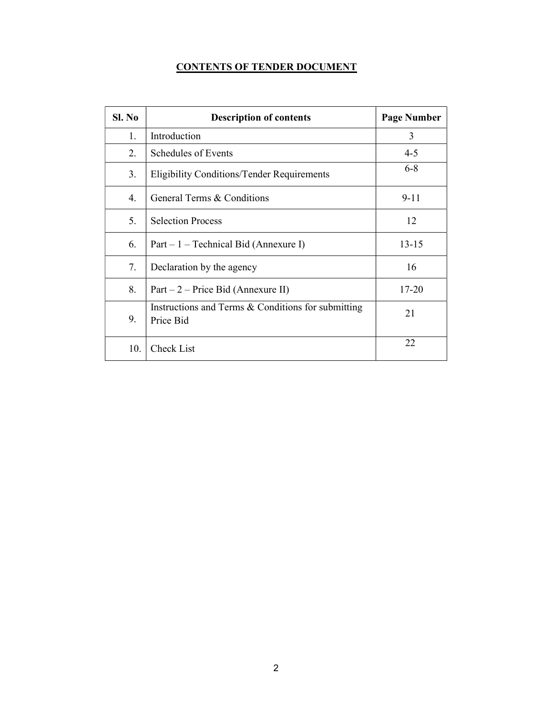## CONTENTS OF TENDER DOCUMENT

| Sl. No | <b>Description of contents</b>                                  | Page Number |
|--------|-----------------------------------------------------------------|-------------|
| 1.     | Introduction                                                    | 3           |
| 2.     | Schedules of Events                                             | $4 - 5$     |
| 3.     | <b>Eligibility Conditions/Tender Requirements</b>               | $6 - 8$     |
| 4.     | General Terms & Conditions                                      | $9 - 11$    |
| 5.     | <b>Selection Process</b>                                        | 12          |
| 6.     | $Part - 1 - Technical Bid (Annexure I)$                         | $13 - 15$   |
| 7.     | Declaration by the agency                                       | 16          |
| 8.     | $Part - 2 - Price Bid (Annexure II)$                            | $17 - 20$   |
| 9.     | Instructions and Terms & Conditions for submitting<br>Price Bid | 21          |
| 10.    | <b>Check List</b>                                               | 22          |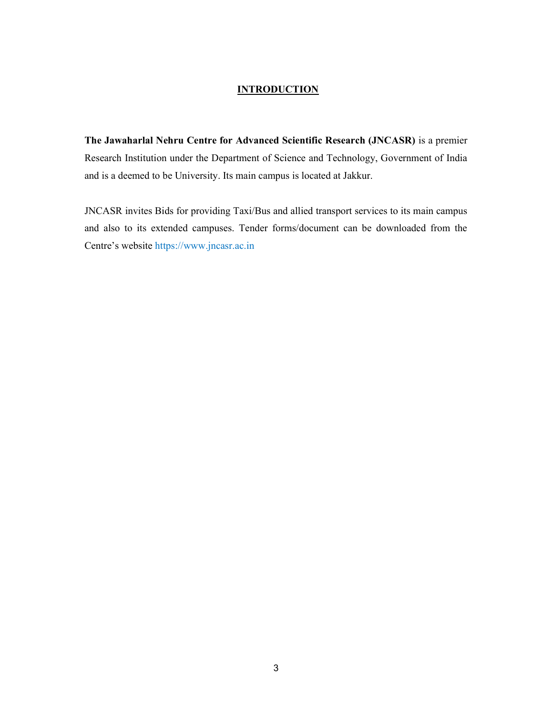#### **INTRODUCTION**

The Jawaharlal Nehru Centre for Advanced Scientific Research (JNCASR) is a premier Research Institution under the Department of Science and Technology, Government of India and is a deemed to be University. Its main campus is located at Jakkur.

JNCASR invites Bids for providing Taxi/Bus and allied transport services to its main campus and also to its extended campuses. Tender forms/document can be downloaded from the Centre's website https://www.jncasr.ac.in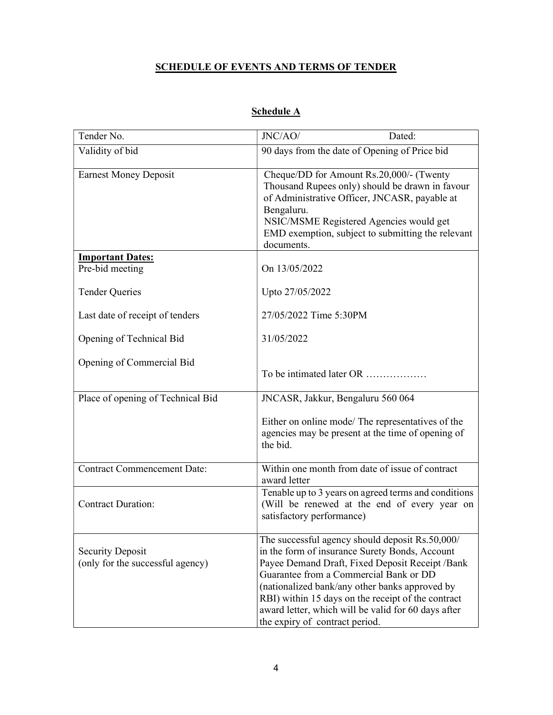## SCHEDULE OF EVENTS AND TERMS OF TENDER

## Schedule A

| Tender No.                                                  | JNC/AO/<br>Dated:                                                                                                                                                                                                                                                                                                                                                                               |
|-------------------------------------------------------------|-------------------------------------------------------------------------------------------------------------------------------------------------------------------------------------------------------------------------------------------------------------------------------------------------------------------------------------------------------------------------------------------------|
| Validity of bid                                             | 90 days from the date of Opening of Price bid                                                                                                                                                                                                                                                                                                                                                   |
| <b>Earnest Money Deposit</b>                                | Cheque/DD for Amount Rs.20,000/- (Twenty<br>Thousand Rupees only) should be drawn in favour<br>of Administrative Officer, JNCASR, payable at<br>Bengaluru.<br>NSIC/MSME Registered Agencies would get<br>EMD exemption, subject to submitting the relevant<br>documents.                                                                                                                        |
| <b>Important Dates:</b>                                     |                                                                                                                                                                                                                                                                                                                                                                                                 |
| Pre-bid meeting                                             | On 13/05/2022                                                                                                                                                                                                                                                                                                                                                                                   |
| <b>Tender Queries</b>                                       | Upto 27/05/2022                                                                                                                                                                                                                                                                                                                                                                                 |
| Last date of receipt of tenders                             | 27/05/2022 Time 5:30PM                                                                                                                                                                                                                                                                                                                                                                          |
| Opening of Technical Bid                                    | 31/05/2022                                                                                                                                                                                                                                                                                                                                                                                      |
| Opening of Commercial Bid                                   | To be intimated later OR                                                                                                                                                                                                                                                                                                                                                                        |
| Place of opening of Technical Bid                           | JNCASR, Jakkur, Bengaluru 560 064                                                                                                                                                                                                                                                                                                                                                               |
|                                                             | Either on online mode/ The representatives of the<br>agencies may be present at the time of opening of<br>the bid.                                                                                                                                                                                                                                                                              |
| <b>Contract Commencement Date:</b>                          | Within one month from date of issue of contract<br>award letter                                                                                                                                                                                                                                                                                                                                 |
| <b>Contract Duration:</b>                                   | Tenable up to 3 years on agreed terms and conditions<br>(Will be renewed at the end of every year on<br>satisfactory performance)                                                                                                                                                                                                                                                               |
| <b>Security Deposit</b><br>(only for the successful agency) | The successful agency should deposit Rs.50,000/<br>in the form of insurance Surety Bonds, Account<br>Payee Demand Draft, Fixed Deposit Receipt /Bank<br>Guarantee from a Commercial Bank or DD<br>(nationalized bank/any other banks approved by<br>RBI) within 15 days on the receipt of the contract<br>award letter, which will be valid for 60 days after<br>the expiry of contract period. |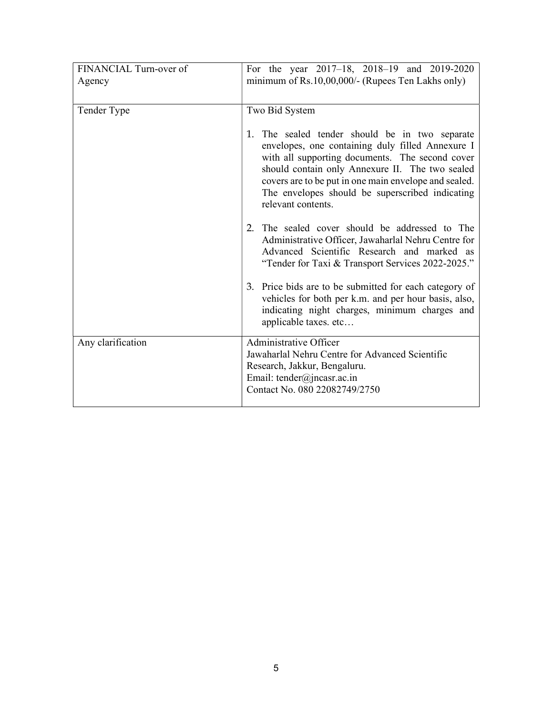| FINANCIAL Turn-over of<br>Agency | For the year 2017-18, 2018-19 and 2019-2020<br>minimum of Rs.10,00,000/- (Rupees Ten Lakhs only)                                                                                                                           |
|----------------------------------|----------------------------------------------------------------------------------------------------------------------------------------------------------------------------------------------------------------------------|
| Tender Type                      | Two Bid System<br>1. The sealed tender should be in two separate<br>envelopes, one containing duly filled Annexure I<br>with all supporting documents. The second cover<br>should contain only Annexure II. The two sealed |
|                                  | covers are to be put in one main envelope and sealed.<br>The envelopes should be superscribed indicating<br>relevant contents.                                                                                             |
|                                  | 2. The sealed cover should be addressed to The<br>Administrative Officer, Jawaharlal Nehru Centre for<br>Advanced Scientific Research and marked as<br>"Tender for Taxi & Transport Services 2022-2025."                   |
|                                  | 3. Price bids are to be submitted for each category of<br>vehicles for both per k.m. and per hour basis, also,<br>indicating night charges, minimum charges and<br>applicable taxes. etc                                   |
| Any clarification                | Administrative Officer<br>Jawaharlal Nehru Centre for Advanced Scientific<br>Research, Jakkur, Bengaluru.<br>Email: tender@jncasr.ac.in<br>Contact No. 080 22082749/2750                                                   |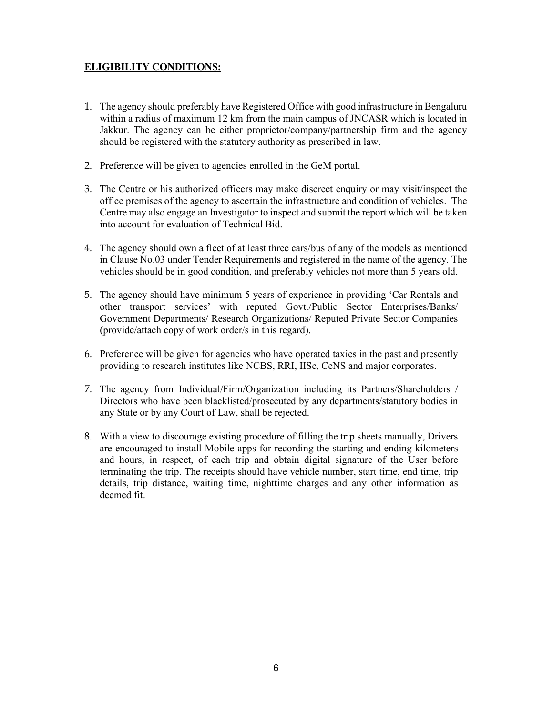## ELIGIBILITY CONDITIONS:

- 1. The agency should preferably have Registered Office with good infrastructure in Bengaluru within a radius of maximum 12 km from the main campus of JNCASR which is located in Jakkur. The agency can be either proprietor/company/partnership firm and the agency should be registered with the statutory authority as prescribed in law.
- 2. Preference will be given to agencies enrolled in the GeM portal.
- 3. The Centre or his authorized officers may make discreet enquiry or may visit/inspect the office premises of the agency to ascertain the infrastructure and condition of vehicles. The Centre may also engage an Investigator to inspect and submit the report which will be taken into account for evaluation of Technical Bid.
- 4. The agency should own a fleet of at least three cars/bus of any of the models as mentioned in Clause No.03 under Tender Requirements and registered in the name of the agency. The vehicles should be in good condition, and preferably vehicles not more than 5 years old.
- 5. The agency should have minimum 5 years of experience in providing 'Car Rentals and other transport services' with reputed Govt./Public Sector Enterprises/Banks/ Government Departments/ Research Organizations/ Reputed Private Sector Companies (provide/attach copy of work order/s in this regard).
- 6. Preference will be given for agencies who have operated taxies in the past and presently providing to research institutes like NCBS, RRI, IISc, CeNS and major corporates.
- 7. The agency from Individual/Firm/Organization including its Partners/Shareholders / Directors who have been blacklisted/prosecuted by any departments/statutory bodies in any State or by any Court of Law, shall be rejected.
- 8. With a view to discourage existing procedure of filling the trip sheets manually, Drivers are encouraged to install Mobile apps for recording the starting and ending kilometers and hours, in respect, of each trip and obtain digital signature of the User before terminating the trip. The receipts should have vehicle number, start time, end time, trip details, trip distance, waiting time, nighttime charges and any other information as deemed fit.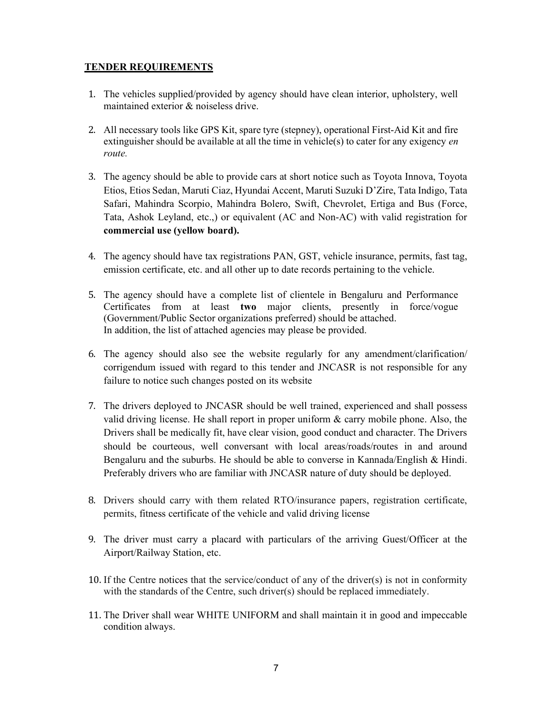### TENDER REQUIREMENTS

- 1. The vehicles supplied/provided by agency should have clean interior, upholstery, well maintained exterior & noiseless drive.
- 2. All necessary tools like GPS Kit, spare tyre (stepney), operational First-Aid Kit and fire extinguisher should be available at all the time in vehicle(s) to cater for any exigency *en* route.
- 3. The agency should be able to provide cars at short notice such as Toyota Innova, Toyota Etios, Etios Sedan, Maruti Ciaz, Hyundai Accent, Maruti Suzuki D'Zire, Tata Indigo, Tata Safari, Mahindra Scorpio, Mahindra Bolero, Swift, Chevrolet, Ertiga and Bus (Force, Tata, Ashok Leyland, etc.,) or equivalent (AC and Non-AC) with valid registration for commercial use (yellow board).
- 4. The agency should have tax registrations PAN, GST, vehicle insurance, permits, fast tag, emission certificate, etc. and all other up to date records pertaining to the vehicle.
- 5. The agency should have a complete list of clientele in Bengaluru and Performance Certificates from at least two major clients, presently in force/vogue (Government/Public Sector organizations preferred) should be attached. In addition, the list of attached agencies may please be provided.
- 6. The agency should also see the website regularly for any amendment/clarification/ corrigendum issued with regard to this tender and JNCASR is not responsible for any failure to notice such changes posted on its website
- 7. The drivers deployed to JNCASR should be well trained, experienced and shall possess valid driving license. He shall report in proper uniform & carry mobile phone. Also, the Drivers shall be medically fit, have clear vision, good conduct and character. The Drivers should be courteous, well conversant with local areas/roads/routes in and around Bengaluru and the suburbs. He should be able to converse in Kannada/English & Hindi. Preferably drivers who are familiar with JNCASR nature of duty should be deployed.
- 8. Drivers should carry with them related RTO/insurance papers, registration certificate, permits, fitness certificate of the vehicle and valid driving license
- 9. The driver must carry a placard with particulars of the arriving Guest/Officer at the Airport/Railway Station, etc.
- 10. If the Centre notices that the service/conduct of any of the driver(s) is not in conformity with the standards of the Centre, such driver(s) should be replaced immediately.
- 11. The Driver shall wear WHITE UNIFORM and shall maintain it in good and impeccable condition always.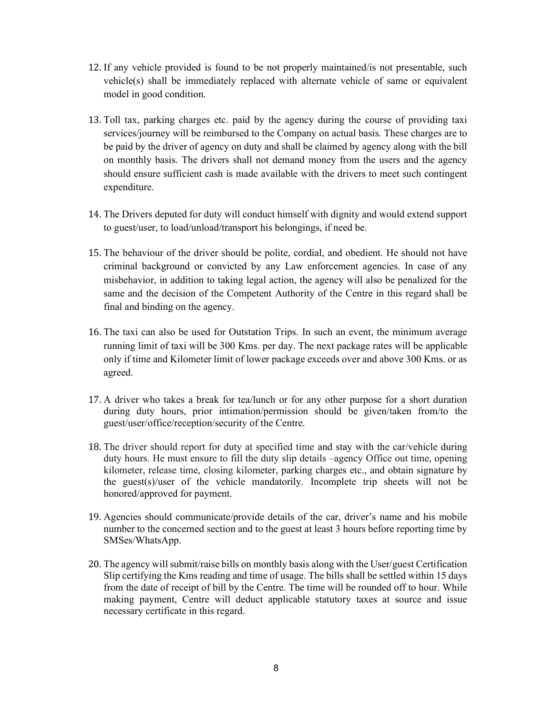- 12. If any vehicle provided is found to be not properly maintained/is not presentable, such vehicle(s) shall be immediately replaced with alternate vehicle of same or equivalent model in good condition.
- 13. Toll tax, parking charges etc. paid by the agency during the course of providing taxi services/journey will be reimbursed to the Company on actual basis. These charges are to be paid by the driver of agency on duty and shall be claimed by agency along with the bill on monthly basis. The drivers shall not demand money from the users and the agency should ensure sufficient cash is made available with the drivers to meet such contingent expenditure.
- 14. The Drivers deputed for duty will conduct himself with dignity and would extend support to guest/user, to load/unload/transport his belongings, if need be.
- 15. The behaviour of the driver should be polite, cordial, and obedient. He should not have criminal background or convicted by any Law enforcement agencies. In case of any misbehavior, in addition to taking legal action, the agency will also be penalized for the same and the decision of the Competent Authority of the Centre in this regard shall be final and binding on the agency.
- 16. The taxi can also be used for Outstation Trips. In such an event, the minimum average running limit of taxi will be 300 Kms. per day. The next package rates will be applicable only if time and Kilometer limit of lower package exceeds over and above 300 Kms. or as agreed.
- 17. A driver who takes a break for tea/lunch or for any other purpose for a short duration during duty hours, prior intimation/permission should be given/taken from/to the guest/user/office/reception/security of the Centre.
- 18. The driver should report for duty at specified time and stay with the car/vehicle during duty hours. He must ensure to fill the duty slip details –agency Office out time, opening kilometer, release time, closing kilometer, parking charges etc., and obtain signature by the guest(s)/user of the vehicle mandatorily. Incomplete trip sheets will not be honored/approved for payment.
- 19. Agencies should communicate/provide details of the car, driver's name and his mobile number to the concerned section and to the guest at least 3 hours before reporting time by SMSes/WhatsApp.
- 20. The agency will submit/raise bills on monthly basis along with the User/guest Certification Slip certifying the Kms reading and time of usage. The bills shall be settled within 15 days from the date of receipt of bill by the Centre. The time will be rounded off to hour. While making payment, Centre will deduct applicable statutory taxes at source and issue necessary certificate in this regard.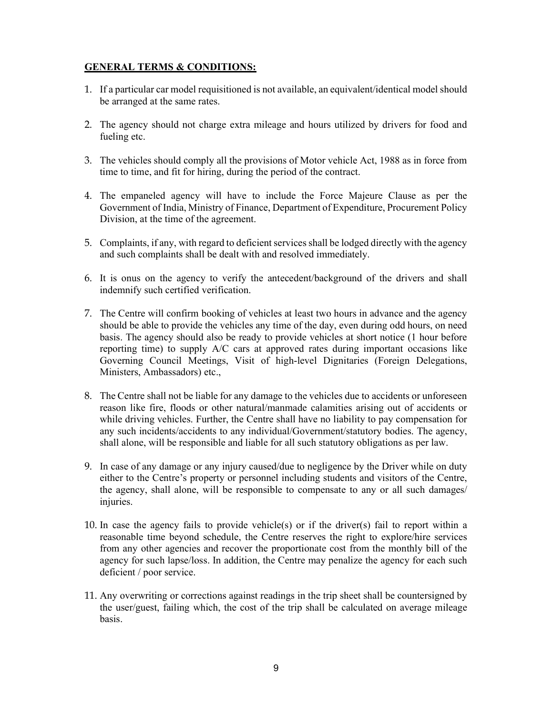#### GENERAL TERMS & CONDITIONS:

- 1. If a particular car model requisitioned is not available, an equivalent/identical model should be arranged at the same rates.
- 2. The agency should not charge extra mileage and hours utilized by drivers for food and fueling etc.
- 3. The vehicles should comply all the provisions of Motor vehicle Act, 1988 as in force from time to time, and fit for hiring, during the period of the contract.
- 4. The empaneled agency will have to include the Force Majeure Clause as per the Government of India, Ministry of Finance, Department of Expenditure, Procurement Policy Division, at the time of the agreement.
- 5. Complaints, if any, with regard to deficient services shall be lodged directly with the agency and such complaints shall be dealt with and resolved immediately.
- 6. It is onus on the agency to verify the antecedent/background of the drivers and shall indemnify such certified verification.
- 7. The Centre will confirm booking of vehicles at least two hours in advance and the agency should be able to provide the vehicles any time of the day, even during odd hours, on need basis. The agency should also be ready to provide vehicles at short notice (1 hour before reporting time) to supply A/C cars at approved rates during important occasions like Governing Council Meetings, Visit of high-level Dignitaries (Foreign Delegations, Ministers, Ambassadors) etc.,
- 8. The Centre shall not be liable for any damage to the vehicles due to accidents or unforeseen reason like fire, floods or other natural/manmade calamities arising out of accidents or while driving vehicles. Further, the Centre shall have no liability to pay compensation for any such incidents/accidents to any individual/Government/statutory bodies. The agency, shall alone, will be responsible and liable for all such statutory obligations as per law.
- 9. In case of any damage or any injury caused/due to negligence by the Driver while on duty either to the Centre's property or personnel including students and visitors of the Centre, the agency, shall alone, will be responsible to compensate to any or all such damages/ injuries.
- 10. In case the agency fails to provide vehicle(s) or if the driver(s) fail to report within a reasonable time beyond schedule, the Centre reserves the right to explore/hire services from any other agencies and recover the proportionate cost from the monthly bill of the agency for such lapse/loss. In addition, the Centre may penalize the agency for each such deficient / poor service.
- 11. Any overwriting or corrections against readings in the trip sheet shall be countersigned by the user/guest, failing which, the cost of the trip shall be calculated on average mileage basis.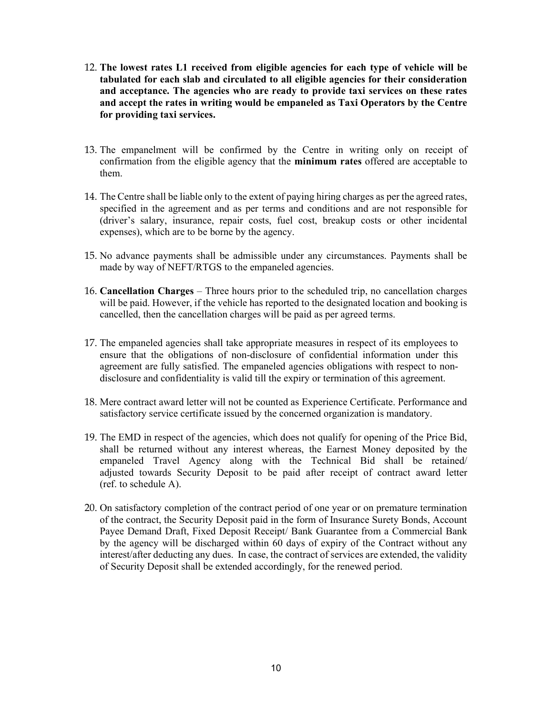- 12. The lowest rates L1 received from eligible agencies for each type of vehicle will be tabulated for each slab and circulated to all eligible agencies for their consideration and acceptance. The agencies who are ready to provide taxi services on these rates and accept the rates in writing would be empaneled as Taxi Operators by the Centre for providing taxi services.
- 13. The empanelment will be confirmed by the Centre in writing only on receipt of confirmation from the eligible agency that the minimum rates offered are acceptable to them.
- 14. The Centre shall be liable only to the extent of paying hiring charges as per the agreed rates, specified in the agreement and as per terms and conditions and are not responsible for (driver's salary, insurance, repair costs, fuel cost, breakup costs or other incidental expenses), which are to be borne by the agency.
- 15. No advance payments shall be admissible under any circumstances. Payments shall be made by way of NEFT/RTGS to the empaneled agencies.
- 16. Cancellation Charges Three hours prior to the scheduled trip, no cancellation charges will be paid. However, if the vehicle has reported to the designated location and booking is cancelled, then the cancellation charges will be paid as per agreed terms.
- 17. The empaneled agencies shall take appropriate measures in respect of its employees to ensure that the obligations of non-disclosure of confidential information under this agreement are fully satisfied. The empaneled agencies obligations with respect to nondisclosure and confidentiality is valid till the expiry or termination of this agreement.
- 18. Mere contract award letter will not be counted as Experience Certificate. Performance and satisfactory service certificate issued by the concerned organization is mandatory.
- 19. The EMD in respect of the agencies, which does not qualify for opening of the Price Bid, shall be returned without any interest whereas, the Earnest Money deposited by the empaneled Travel Agency along with the Technical Bid shall be retained/ adjusted towards Security Deposit to be paid after receipt of contract award letter (ref. to schedule A).
- 20. On satisfactory completion of the contract period of one year or on premature termination of the contract, the Security Deposit paid in the form of Insurance Surety Bonds, Account Payee Demand Draft, Fixed Deposit Receipt/ Bank Guarantee from a Commercial Bank by the agency will be discharged within 60 days of expiry of the Contract without any interest/after deducting any dues. In case, the contract of services are extended, the validity of Security Deposit shall be extended accordingly, for the renewed period.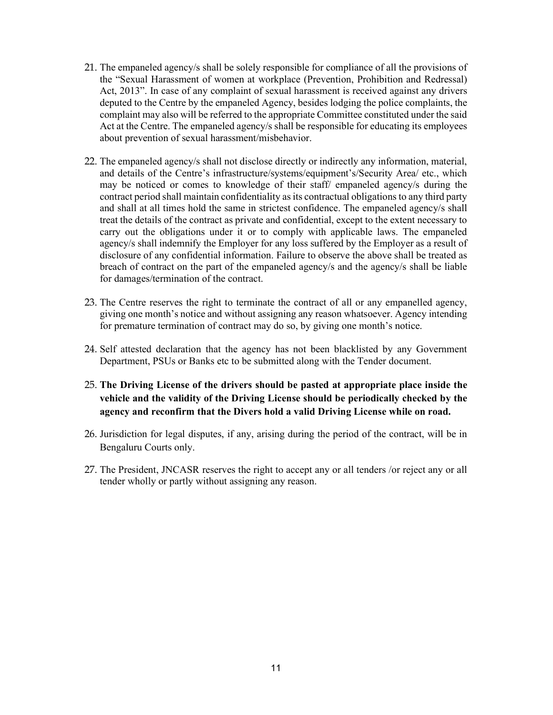- 21. The empaneled agency/s shall be solely responsible for compliance of all the provisions of the "Sexual Harassment of women at workplace (Prevention, Prohibition and Redressal) Act, 2013". In case of any complaint of sexual harassment is received against any drivers deputed to the Centre by the empaneled Agency, besides lodging the police complaints, the complaint may also will be referred to the appropriate Committee constituted under the said Act at the Centre. The empaneled agency/s shall be responsible for educating its employees about prevention of sexual harassment/misbehavior.
- 22. The empaneled agency/s shall not disclose directly or indirectly any information, material, and details of the Centre's infrastructure/systems/equipment's/Security Area/ etc., which may be noticed or comes to knowledge of their staff/ empaneled agency/s during the contract period shall maintain confidentiality as its contractual obligations to any third party and shall at all times hold the same in strictest confidence. The empaneled agency/s shall treat the details of the contract as private and confidential, except to the extent necessary to carry out the obligations under it or to comply with applicable laws. The empaneled agency/s shall indemnify the Employer for any loss suffered by the Employer as a result of disclosure of any confidential information. Failure to observe the above shall be treated as breach of contract on the part of the empaneled agency/s and the agency/s shall be liable for damages/termination of the contract.
- 23. The Centre reserves the right to terminate the contract of all or any empanelled agency, giving one month's notice and without assigning any reason whatsoever. Agency intending for premature termination of contract may do so, by giving one month's notice.
- 24. Self attested declaration that the agency has not been blacklisted by any Government Department, PSUs or Banks etc to be submitted along with the Tender document.
- 25. The Driving License of the drivers should be pasted at appropriate place inside the vehicle and the validity of the Driving License should be periodically checked by the agency and reconfirm that the Divers hold a valid Driving License while on road.
- 26. Jurisdiction for legal disputes, if any, arising during the period of the contract, will be in Bengaluru Courts only.
- 27. The President, JNCASR reserves the right to accept any or all tenders /or reject any or all tender wholly or partly without assigning any reason.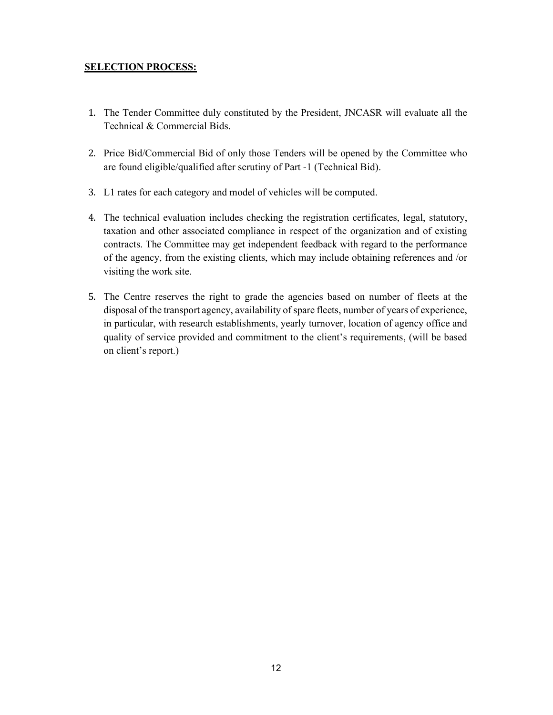#### SELECTION PROCESS:

- 1. The Tender Committee duly constituted by the President, JNCASR will evaluate all the Technical & Commercial Bids.
- 2. Price Bid/Commercial Bid of only those Tenders will be opened by the Committee who are found eligible/qualified after scrutiny of Part -1 (Technical Bid).
- 3. L1 rates for each category and model of vehicles will be computed.
- 4. The technical evaluation includes checking the registration certificates, legal, statutory, taxation and other associated compliance in respect of the organization and of existing contracts. The Committee may get independent feedback with regard to the performance of the agency, from the existing clients, which may include obtaining references and /or visiting the work site.
- 5. The Centre reserves the right to grade the agencies based on number of fleets at the disposal of the transport agency, availability of spare fleets, number of years of experience, in particular, with research establishments, yearly turnover, location of agency office and quality of service provided and commitment to the client's requirements, (will be based on client's report.)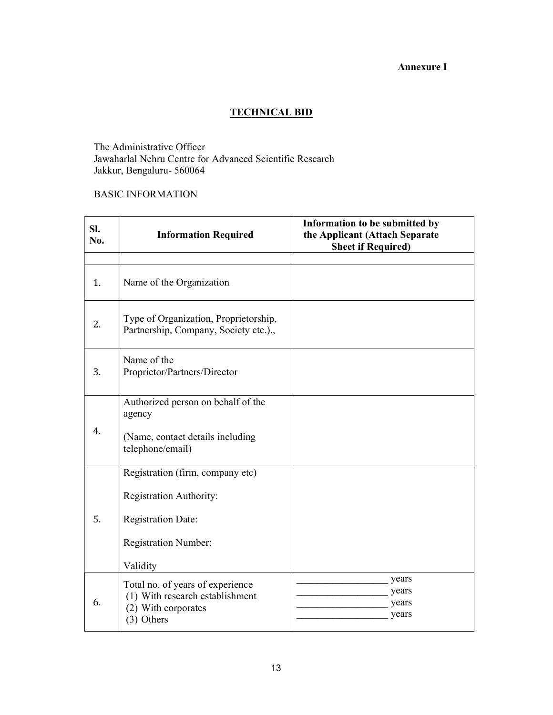#### Annexure I

# TECHNICAL BID

The Administrative Officer Jawaharlal Nehru Centre for Advanced Scientific Research Jakkur, Bengaluru- 560064

#### BASIC INFORMATION

| SI.<br>No. | <b>Information Required</b>                                                                                                                | Information to be submitted by<br>the Applicant (Attach Separate<br><b>Sheet if Required)</b> |
|------------|--------------------------------------------------------------------------------------------------------------------------------------------|-----------------------------------------------------------------------------------------------|
|            |                                                                                                                                            |                                                                                               |
| 1.         | Name of the Organization                                                                                                                   |                                                                                               |
| 2.         | Type of Organization, Proprietorship,<br>Partnership, Company, Society etc.).,                                                             |                                                                                               |
| 3.         | Name of the<br>Proprietor/Partners/Director                                                                                                |                                                                                               |
| 4.         | Authorized person on behalf of the<br>agency<br>(Name, contact details including<br>telephone/email)                                       |                                                                                               |
| 5.         | Registration (firm, company etc)<br><b>Registration Authority:</b><br><b>Registration Date:</b><br><b>Registration Number:</b><br>Validity |                                                                                               |
| 6.         | Total no. of years of experience<br>(1) With research establishment<br>(2) With corporates<br>(3) Others                                   | years<br>years<br>years<br>years                                                              |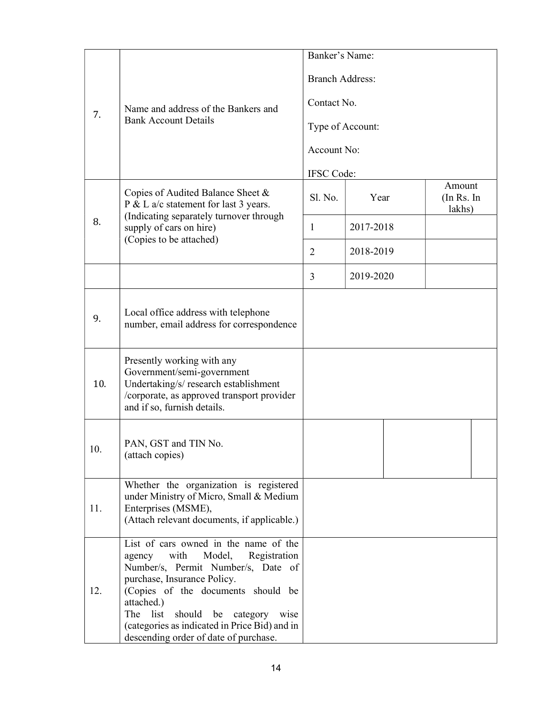|     |                                                                                                                                                                                                                                                                                                                                                | Banker's Name:         |           |  |                                |  |  |  |
|-----|------------------------------------------------------------------------------------------------------------------------------------------------------------------------------------------------------------------------------------------------------------------------------------------------------------------------------------------------|------------------------|-----------|--|--------------------------------|--|--|--|
|     |                                                                                                                                                                                                                                                                                                                                                | <b>Branch Address:</b> |           |  |                                |  |  |  |
| 7.  | Name and address of the Bankers and                                                                                                                                                                                                                                                                                                            | Contact No.            |           |  |                                |  |  |  |
|     | <b>Bank Account Details</b>                                                                                                                                                                                                                                                                                                                    | Type of Account:       |           |  |                                |  |  |  |
|     |                                                                                                                                                                                                                                                                                                                                                | Account No:            |           |  |                                |  |  |  |
|     |                                                                                                                                                                                                                                                                                                                                                | <b>IFSC</b> Code:      |           |  |                                |  |  |  |
|     | Copies of Audited Balance Sheet &<br>P & L a/c statement for last 3 years.                                                                                                                                                                                                                                                                     | Sl. No.                | Year      |  | Amount<br>(In Rs. In<br>lakhs) |  |  |  |
| 8.  | (Indicating separately turnover through<br>supply of cars on hire)                                                                                                                                                                                                                                                                             | 1                      | 2017-2018 |  |                                |  |  |  |
|     | (Copies to be attached)                                                                                                                                                                                                                                                                                                                        | $\overline{2}$         | 2018-2019 |  |                                |  |  |  |
|     |                                                                                                                                                                                                                                                                                                                                                | 3                      | 2019-2020 |  |                                |  |  |  |
| 9.  | Local office address with telephone<br>number, email address for correspondence                                                                                                                                                                                                                                                                |                        |           |  |                                |  |  |  |
| 10. | Presently working with any<br>Government/semi-government<br>Undertaking/s/ research establishment<br>/corporate, as approved transport provider<br>and if so, furnish details.                                                                                                                                                                 |                        |           |  |                                |  |  |  |
| 10. | PAN, GST and TIN No.<br>(attach copies)                                                                                                                                                                                                                                                                                                        |                        |           |  |                                |  |  |  |
| 11. | Whether the organization is registered<br>under Ministry of Micro, Small & Medium<br>Enterprises (MSME),<br>(Attach relevant documents, if applicable.)                                                                                                                                                                                        |                        |           |  |                                |  |  |  |
| 12. | List of cars owned in the name of the<br>with<br>Model,<br>Registration<br>agency<br>Number/s, Permit Number/s, Date of<br>purchase, Insurance Policy.<br>(Copies of the documents should be<br>attached.)<br>The list<br>should be<br>category wise<br>(categories as indicated in Price Bid) and in<br>descending order of date of purchase. |                        |           |  |                                |  |  |  |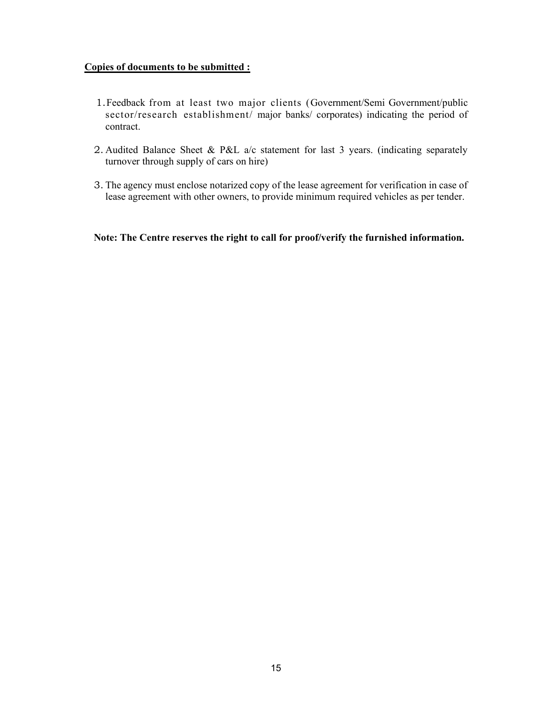#### Copies of documents to be submitted :

- 1.Feedback from at least two major clients (Government/Semi Government/public sector/research establishment/ major banks/ corporates) indicating the period of contract.
- 2. Audited Balance Sheet & P&L a/c statement for last 3 years. (indicating separately turnover through supply of cars on hire)
- 3. The agency must enclose notarized copy of the lease agreement for verification in case of lease agreement with other owners, to provide minimum required vehicles as per tender.

Note: The Centre reserves the right to call for proof/verify the furnished information.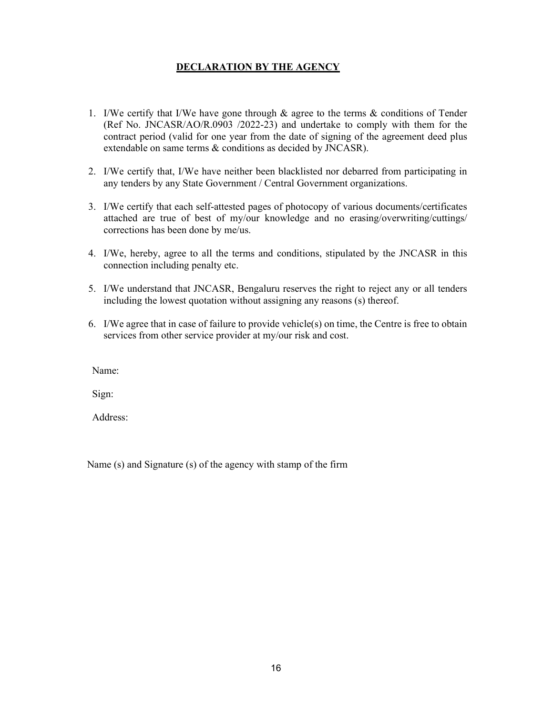### DECLARATION BY THE AGENCY

- 1. I/We certify that I/We have gone through & agree to the terms & conditions of Tender (Ref No. JNCASR/AO/R.0903 /2022-23) and undertake to comply with them for the contract period (valid for one year from the date of signing of the agreement deed plus extendable on same terms & conditions as decided by JNCASR).
- 2. I/We certify that, I/We have neither been blacklisted nor debarred from participating in any tenders by any State Government / Central Government organizations.
- 3. I/We certify that each self-attested pages of photocopy of various documents/certificates attached are true of best of my/our knowledge and no erasing/overwriting/cuttings/ corrections has been done by me/us.
- 4. I/We, hereby, agree to all the terms and conditions, stipulated by the JNCASR in this connection including penalty etc.
- 5. I/We understand that JNCASR, Bengaluru reserves the right to reject any or all tenders including the lowest quotation without assigning any reasons (s) thereof.
- 6. I/We agree that in case of failure to provide vehicle(s) on time, the Centre is free to obtain services from other service provider at my/our risk and cost.

Name:

Sign:

Address:

Name (s) and Signature (s) of the agency with stamp of the firm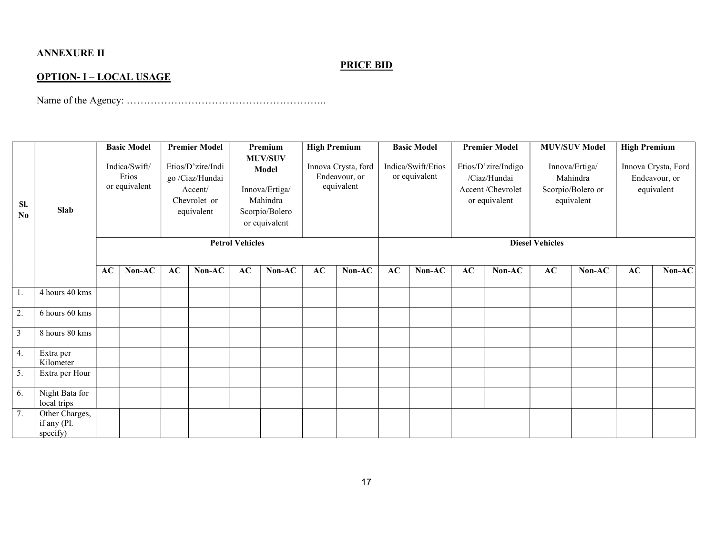#### ANNEXURE II

#### PRICE BID

#### OPTION- I – LOCAL USAGE

Name of the Agency: …………………………………………………..

|           |                                           |    | <b>Basic Model</b>                                                                                                                                                                                                          |    | <b>Premier Model</b> |    | Premium  | <b>High Premium</b> |                                                    |                        | <b>Basic Model</b>                  |                                                                           | <b>Premier Model</b> |                                                               | <b>MUV/SUV Model</b> | <b>High Premium</b>                                |        |
|-----------|-------------------------------------------|----|-----------------------------------------------------------------------------------------------------------------------------------------------------------------------------------------------------------------------------|----|----------------------|----|----------|---------------------|----------------------------------------------------|------------------------|-------------------------------------|---------------------------------------------------------------------------|----------------------|---------------------------------------------------------------|----------------------|----------------------------------------------------|--------|
| Sl.<br>No | <b>Slab</b>                               |    | <b>MUV/SUV</b><br>Indica/Swift/<br>Etios/D'zire/Indi<br><b>Model</b><br>Etios<br>go /Ciaz/Hundai<br>or equivalent<br>Innova/Ertiga/<br>Accent/<br>Chevrolet or<br>Mahindra<br>Scorpio/Bolero<br>equivalent<br>or equivalent |    |                      |    |          |                     | Innova Crysta, ford<br>Endeavour, or<br>equivalent |                        | Indica/Swift/Etios<br>or equivalent | Etios/D'zire/Indigo<br>/Ciaz/Hundai<br>Accent /Chevrolet<br>or equivalent |                      | Innova/Ertiga/<br>Mahindra<br>Scorpio/Bolero or<br>equivalent |                      | Innova Crysta, Ford<br>Endeavour, or<br>equivalent |        |
|           |                                           |    | <b>Petrol Vehicles</b>                                                                                                                                                                                                      |    |                      |    |          |                     |                                                    | <b>Diesel Vehicles</b> |                                     |                                                                           |                      |                                                               |                      |                                                    |        |
|           |                                           | AC | Non-AC                                                                                                                                                                                                                      | AC | Non-AC               | AC | $Non-AC$ | AC                  | Non-AC                                             | AC                     | $Non-AC$                            | AC                                                                        | Non-AC               | AC                                                            | Non-AC               | AC                                                 | Non-AC |
| 1.        | 4 hours 40 kms                            |    |                                                                                                                                                                                                                             |    |                      |    |          |                     |                                                    |                        |                                     |                                                                           |                      |                                                               |                      |                                                    |        |
| 2.        | 6 hours 60 kms                            |    |                                                                                                                                                                                                                             |    |                      |    |          |                     |                                                    |                        |                                     |                                                                           |                      |                                                               |                      |                                                    |        |
| 3         | 8 hours 80 kms                            |    |                                                                                                                                                                                                                             |    |                      |    |          |                     |                                                    |                        |                                     |                                                                           |                      |                                                               |                      |                                                    |        |
| 4.        | Extra per<br>Kilometer                    |    |                                                                                                                                                                                                                             |    |                      |    |          |                     |                                                    |                        |                                     |                                                                           |                      |                                                               |                      |                                                    |        |
| 5.        | Extra per Hour                            |    |                                                                                                                                                                                                                             |    |                      |    |          |                     |                                                    |                        |                                     |                                                                           |                      |                                                               |                      |                                                    |        |
| 6.        | Night Bata for<br>local trips             |    |                                                                                                                                                                                                                             |    |                      |    |          |                     |                                                    |                        |                                     |                                                                           |                      |                                                               |                      |                                                    |        |
| 7.        | Other Charges,<br>if any (Pl.<br>specify) |    |                                                                                                                                                                                                                             |    |                      |    |          |                     |                                                    |                        |                                     |                                                                           |                      |                                                               |                      |                                                    |        |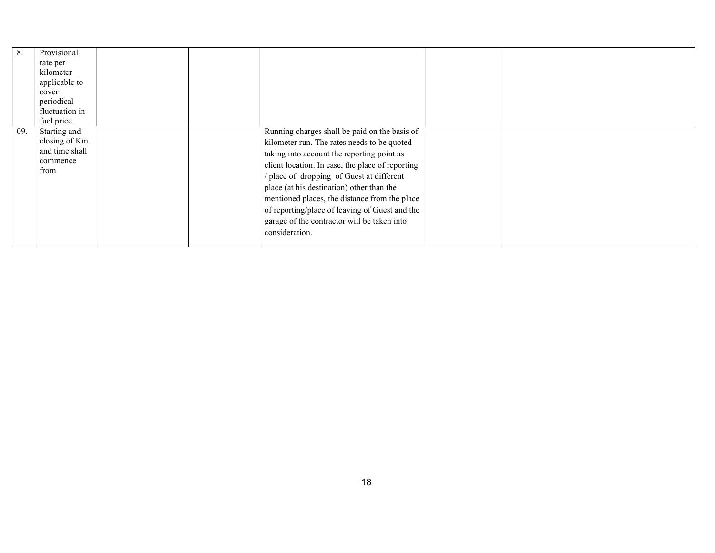| 8.  | Provisional<br>rate per<br>kilometer<br>applicable to<br>cover<br>periodical<br>fluctuation in<br>fuel price. |  |                                                                                                                                                                                                                                                                                                                                                                                                                                                            |  |  |
|-----|---------------------------------------------------------------------------------------------------------------|--|------------------------------------------------------------------------------------------------------------------------------------------------------------------------------------------------------------------------------------------------------------------------------------------------------------------------------------------------------------------------------------------------------------------------------------------------------------|--|--|
| 09. | Starting and<br>closing of Km.<br>and time shall<br>commence<br>from                                          |  | Running charges shall be paid on the basis of<br>kilometer run. The rates needs to be quoted<br>taking into account the reporting point as<br>client location. In case, the place of reporting<br>place of dropping of Guest at different<br>place (at his destination) other than the<br>mentioned places, the distance from the place<br>of reporting/place of leaving of Guest and the<br>garage of the contractor will be taken into<br>consideration. |  |  |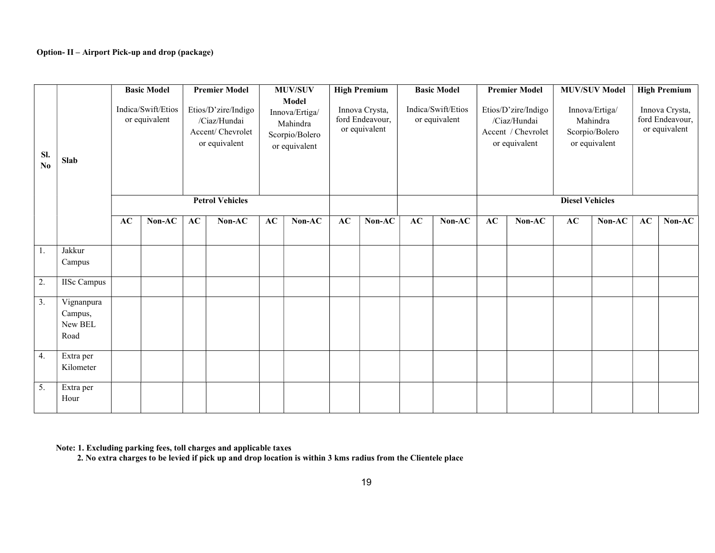#### Option- II – Airport Pick-up and drop (package)

|                  |                                          |    | <b>Basic Model</b>     |                                     | <b>Premier Model</b> |    | <b>MUV/SUV</b>                                                            |    | <b>High Premium</b>                                                    |    | <b>Basic Model</b>                                 | <b>Premier Model</b>   |                                     |    | <b>MUV/SUV Model</b>                                                       | <b>High Premium</b> |                                                               |  |                                                    |
|------------------|------------------------------------------|----|------------------------|-------------------------------------|----------------------|----|---------------------------------------------------------------------------|----|------------------------------------------------------------------------|----|----------------------------------------------------|------------------------|-------------------------------------|----|----------------------------------------------------------------------------|---------------------|---------------------------------------------------------------|--|----------------------------------------------------|
| SI.<br>No        | <b>Slab</b>                              |    |                        | Indica/Swift/Etios<br>or equivalent |                      |    | Etios/D'zire/Indigo<br>/Ciaz/Hundai<br>Accent/ Chevrolet<br>or equivalent |    | Model<br>Innova/Ertiga/<br>Mahindra<br>Scorpio/Bolero<br>or equivalent |    | Innova Crysta,<br>ford Endeavour,<br>or equivalent |                        | Indica/Swift/Etios<br>or equivalent |    | Etios/D'zire/Indigo<br>/Ciaz/Hundai<br>Accent / Chevrolet<br>or equivalent |                     | Innova/Ertiga/<br>Mahindra<br>Scorpio/Bolero<br>or equivalent |  | Innova Crysta,<br>ford Endeavour,<br>or equivalent |
|                  |                                          |    | <b>Petrol Vehicles</b> |                                     |                      |    |                                                                           |    |                                                                        |    |                                                    | <b>Diesel Vehicles</b> |                                     |    |                                                                            |                     |                                                               |  |                                                    |
|                  |                                          | AC | Non-AC                 | AC                                  | Non-AC               | AC | Non-AC                                                                    | AC | Non-AC                                                                 | AC | Non-AC                                             | AC                     | Non-AC                              | AC | Non-AC                                                                     | AC                  | $Non-AC$                                                      |  |                                                    |
| 1.               | Jakkur                                   |    |                        |                                     |                      |    |                                                                           |    |                                                                        |    |                                                    |                        |                                     |    |                                                                            |                     |                                                               |  |                                                    |
|                  | Campus                                   |    |                        |                                     |                      |    |                                                                           |    |                                                                        |    |                                                    |                        |                                     |    |                                                                            |                     |                                                               |  |                                                    |
| 2.               | <b>IISc Campus</b>                       |    |                        |                                     |                      |    |                                                                           |    |                                                                        |    |                                                    |                        |                                     |    |                                                                            |                     |                                                               |  |                                                    |
| 3.               | Vignanpura<br>Campus,<br>New BEL<br>Road |    |                        |                                     |                      |    |                                                                           |    |                                                                        |    |                                                    |                        |                                     |    |                                                                            |                     |                                                               |  |                                                    |
| 4.               | Extra per<br>Kilometer                   |    |                        |                                     |                      |    |                                                                           |    |                                                                        |    |                                                    |                        |                                     |    |                                                                            |                     |                                                               |  |                                                    |
| $\overline{5}$ . | Extra per<br>Hour                        |    |                        |                                     |                      |    |                                                                           |    |                                                                        |    |                                                    |                        |                                     |    |                                                                            |                     |                                                               |  |                                                    |

Note: 1. Excluding parking fees, toll charges and applicable taxes

2. No extra charges to be levied if pick up and drop location is within 3 kms radius from the Clientele place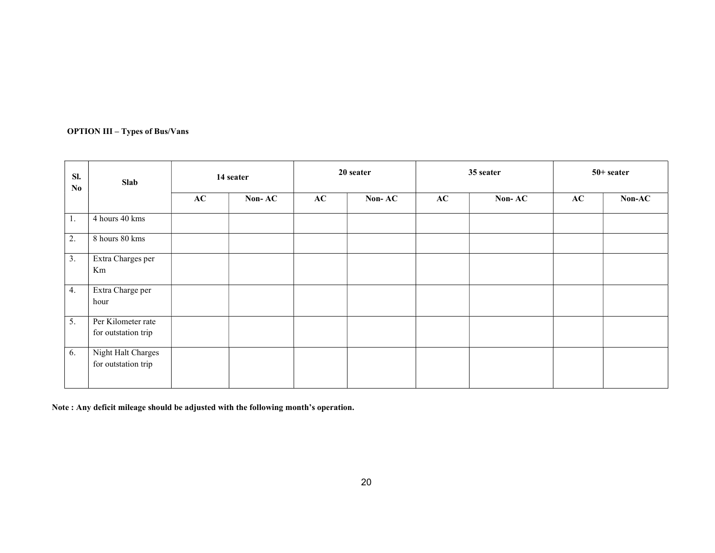#### OPTION III – Types of Bus/Vans

| Sl.<br>No. | <b>Slab</b>                               |    | 14 seater |    | 20 seater |    | 35 seater | $50+$ seater |          |  |
|------------|-------------------------------------------|----|-----------|----|-----------|----|-----------|--------------|----------|--|
|            |                                           | AC | Non-AC    | AC | Non-AC    | AC | Non-AC    | AC           | $Non-AC$ |  |
| 1.         | 4 hours 40 kms                            |    |           |    |           |    |           |              |          |  |
| 2.         | 8 hours 80 kms                            |    |           |    |           |    |           |              |          |  |
| 3.         | Extra Charges per<br>Km                   |    |           |    |           |    |           |              |          |  |
| 4.         | Extra Charge per<br>hour                  |    |           |    |           |    |           |              |          |  |
| 5.         | Per Kilometer rate<br>for outstation trip |    |           |    |           |    |           |              |          |  |
| 6.         | Night Halt Charges<br>for outstation trip |    |           |    |           |    |           |              |          |  |

Note : Any deficit mileage should be adjusted with the following month's operation.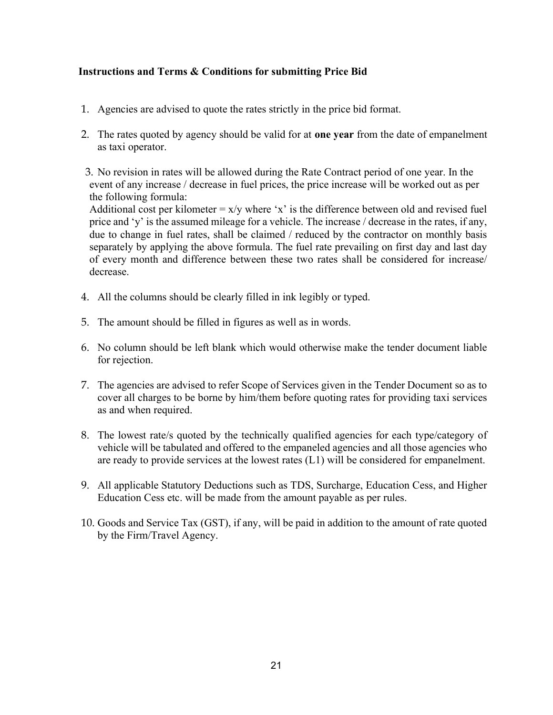### Instructions and Terms & Conditions for submitting Price Bid

- 1. Agencies are advised to quote the rates strictly in the price bid format.
- 2. The rates quoted by agency should be valid for at **one year** from the date of empanelment as taxi operator.
- 3. No revision in rates will be allowed during the Rate Contract period of one year. In the event of any increase / decrease in fuel prices, the price increase will be worked out as per the following formula:

Additional cost per kilometer =  $x/y$  where 'x' is the difference between old and revised fuel price and 'y' is the assumed mileage for a vehicle. The increase / decrease in the rates, if any, due to change in fuel rates, shall be claimed / reduced by the contractor on monthly basis separately by applying the above formula. The fuel rate prevailing on first day and last day of every month and difference between these two rates shall be considered for increase/ decrease.

- 4. All the columns should be clearly filled in ink legibly or typed.
- 5. The amount should be filled in figures as well as in words.
- 6. No column should be left blank which would otherwise make the tender document liable for rejection.
- 7. The agencies are advised to refer Scope of Services given in the Tender Document so as to cover all charges to be borne by him/them before quoting rates for providing taxi services as and when required.
- 8. The lowest rate/s quoted by the technically qualified agencies for each type/category of vehicle will be tabulated and offered to the empaneled agencies and all those agencies who are ready to provide services at the lowest rates (L1) will be considered for empanelment.
- 9. All applicable Statutory Deductions such as TDS, Surcharge, Education Cess, and Higher Education Cess etc. will be made from the amount payable as per rules.
- 10. Goods and Service Tax (GST), if any, will be paid in addition to the amount of rate quoted by the Firm/Travel Agency.